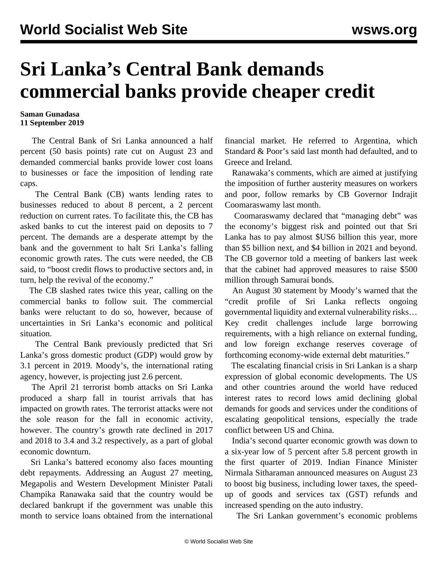## **Sri Lanka's Central Bank demands commercial banks provide cheaper credit**

## **Saman Gunadasa 11 September 2019**

 The Central Bank of Sri Lanka announced a half percent (50 basis points) rate cut on August 23 and demanded commercial banks provide lower cost loans to businesses or face the imposition of lending rate caps.

 The Central Bank (CB) wants lending rates to businesses reduced to about 8 percent, a 2 percent reduction on current rates. To facilitate this, the CB has asked banks to cut the interest paid on deposits to 7 percent. The demands are a desperate attempt by the bank and the government to halt Sri Lanka's falling economic growth rates. The cuts were needed, the CB said, to "boost credit flows to productive sectors and, in turn, help the revival of the economy."

 The CB slashed rates twice this year, calling on the commercial banks to follow suit. The commercial banks were reluctant to do so, however, because of uncertainties in Sri Lanka's economic and political situation.

 The Central Bank previously predicted that Sri Lanka's gross domestic product (GDP) would grow by 3.1 percent in 2019. Moody's, the international rating agency, however, is projecting just 2.6 percent.

 The April 21 terrorist bomb attacks on Sri Lanka produced a sharp fall in tourist arrivals that has impacted on growth rates. The terrorist attacks were not the sole reason for the fall in economic activity, however. The country's growth rate declined in 2017 and 2018 to 3.4 and 3.2 respectively, as a part of global economic downturn.

 Sri Lanka's battered economy also faces mounting debt repayments. Addressing an August 27 meeting, Megapolis and Western Development Minister Patali Champika Ranawaka said that the country would be declared bankrupt if the government was unable this month to service loans obtained from the international financial market. He referred to Argentina, which Standard & Poor's said last month had [defaulted,](/en/articles/2019/08/31/arge-a31.html) and to Greece and Ireland.

 Ranawaka's comments, which are aimed at justifying the imposition of further austerity measures on workers and poor, follow remarks by CB Governor Indrajit Coomaraswamy last month.

 Coomaraswamy declared that "managing debt" was the economy's biggest risk and pointed out that Sri Lanka has to pay almost \$US6 billion this year, more than \$5 billion next, and \$4 billion in 2021 and beyond. The CB governor told a meeting of bankers last week that the cabinet had approved measures to raise \$500 million through Samurai bonds.

 An August 30 statement by Moody's warned that the "credit profile of Sri Lanka reflects ongoing governmental liquidity and external vulnerability risks… Key credit challenges include large borrowing requirements, with a high reliance on external funding, and low foreign exchange reserves coverage of forthcoming economy-wide external debt maturities."

 The escalating financial crisis in Sri Lankan is a sharp expression of global economic developments. The US and other countries around the world have reduced interest rates to record lows amid declining global demands for goods and services under the conditions of escalating geopolitical tensions, especially the trade conflict between US and China.

 India's second quarter economic growth was down to a six-year low of 5 percent after 5.8 percent growth in the first quarter of 2019. Indian Finance Minister Nirmala Sitharaman announced measures on August 23 to boost big business, including lower taxes, the speedup of goods and services tax (GST) refunds and increased spending on the auto industry.

The Sri Lankan government's economic problems